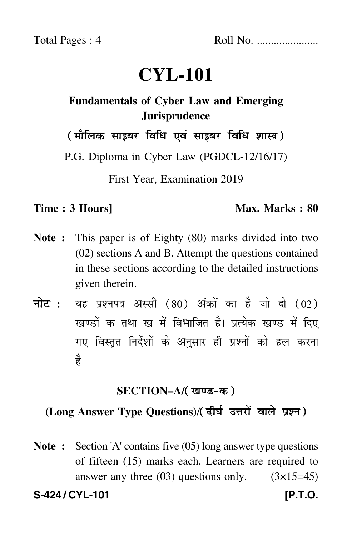# **CYL-101**

# **Fundamentals of Cyber Law and Emerging Jurisprudence**

( मौलिक साइबर विधि एवं साइबर विधि शास्त्र)

P.G. Diploma in Cyber Law (PGDCL-12/16/17)

First Year, Examination 2019

### **Time : 3 Hours]** Max. Marks : 80

- **Note :** This paper is of Eighty (80) marks divided into two (02) sections A and B. Attempt the questions contained in these sections according to the detailed instructions given therein.
- नोट : यह प्रश्नपत्र अस्सी (80) अंकों का है जो दो (02) खण्डों क तथा ख में विभाजित है। प्रत्येक खण्ड में दिए गए विस्तृत निर्देशों के अनुसार ही प्रश्नों को हल करन<mark>ा</mark> है।

## **SECTION–A/**

## (Long Answer Type Questions)/(दीर्घ उत्तरों वाले प्रश्न)

**Note :** Section 'A' contains five (05) long answer type questions of fifteen (15) marks each. Learners are required to answer any three  $(03)$  questions only.  $(3\times15=45)$ S-424 / CYL-101 *IP.T.O.*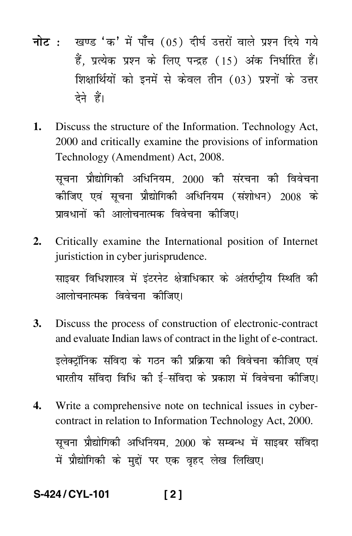- <mark>नोट</mark> : खण्ड 'क' में पाँच (05) दीर्घ उत्तरों वाले प्रश्न दिये गये हैं, प्रत्येक प्रश्न के लिए पन्द्रह (15) अंक निर्धारित हैं। शिक्षार्थियों को इनमें से केवल तीन (03) प्रश्नों के उत्तर देने हैं।
- **1.** Discuss the structure of the Information. Technology Act, 2000 and critically examine the provisions of information Technology (Amendment) Act, 2008.

सूचना प्रौद्योगिकी अधिनियम, 2000 की संरचना की विवेचना कीजिए एवं सूचना प्रौद्योगिकी अधिनियम (संशोधन) 2008 के प्रावधानों की आलोचनात्मक विवेचना कीजिए।

**2.** Critically examine the International position of Internet juristiction in cyber jurisprudence.

साइबर विधिशास्त्र में इंटरनेट क्षेत्राधिकार के अंतर्राष्ट्रीय स्थिति की आलोचनात्मक विवेचना कीजिए।

- **3.** Discuss the process of construction of electronic-contract and evaluate Indian laws of contract in the light of e-contract. इलेक्टॉनिक संविदा के गठन की प्रक्रिया की विवेचना कीजिए एवं भारतीय संविदा विधि की ई–संविदा के प्रकाश में विवेचना कीजिए।
- **4.** Write a comprehensive note on technical issues in cybercontract in relation to Information Technology Act, 2000. सूचना प्रौद्योगिकी अधिनियम, 2000 के सम्बन्ध में साइबर संविदा में प्रौद्योगिकी के मुद्दों पर एक वृहद लेख लिखिए।

**S-424 / CYL-101 [ 2 ]**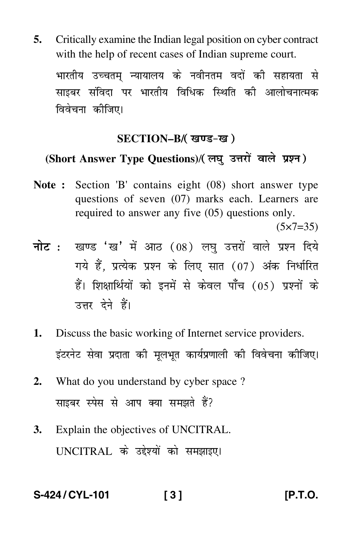**5.** Critically examine the Indian legal position on cyber contract with the help of recent cases of Indian supreme court.

भारतीय उच्चतम् न्यायालय के नवीनतम वदों की सहायता से साइबर संविदा पर भारतीय विधिक स्थिति की आलोचनात्मक विवेचना कीजिए।

### **SECTION–B/**

# (Short Answer Type Questions)/(लघ उत्तरों वाले प्रश्न)

- **Note :** Section 'B' contains eight (08) short answer type questions of seven (07) marks each. Learners are required to answer any five (05) questions only.  $(5 \times 7 = 35)$
- <mark>नोट</mark> : खण्ड 'ख' में आठ (08) लघु उत्तरों वाले प्रश्न दिये गये हैं, प्रत्येक प्रश्न के लिए सात (07) अंक निर्धारित हैं। शिक्षार्थियों को इनमें से केवल पाँच (05) प्रश्नों के उत्तर देने हैं।
- **1.** Discuss the basic working of Internet service providers. इंटरनेट सेवा प्रदाता की मूलभूत कार्यप्रणाली की विवेचना कीजिए।
- **2.** What do you understand by cyber space ? साइबर स्पेस से आप क्या समझते हैं?
- **3.** Explain the objectives of UNCITRAL. UNCITRAL के उद्देश्यों को समझाइए।

**S-424 / CYL-101 [ 3 ] [P.T.O.**